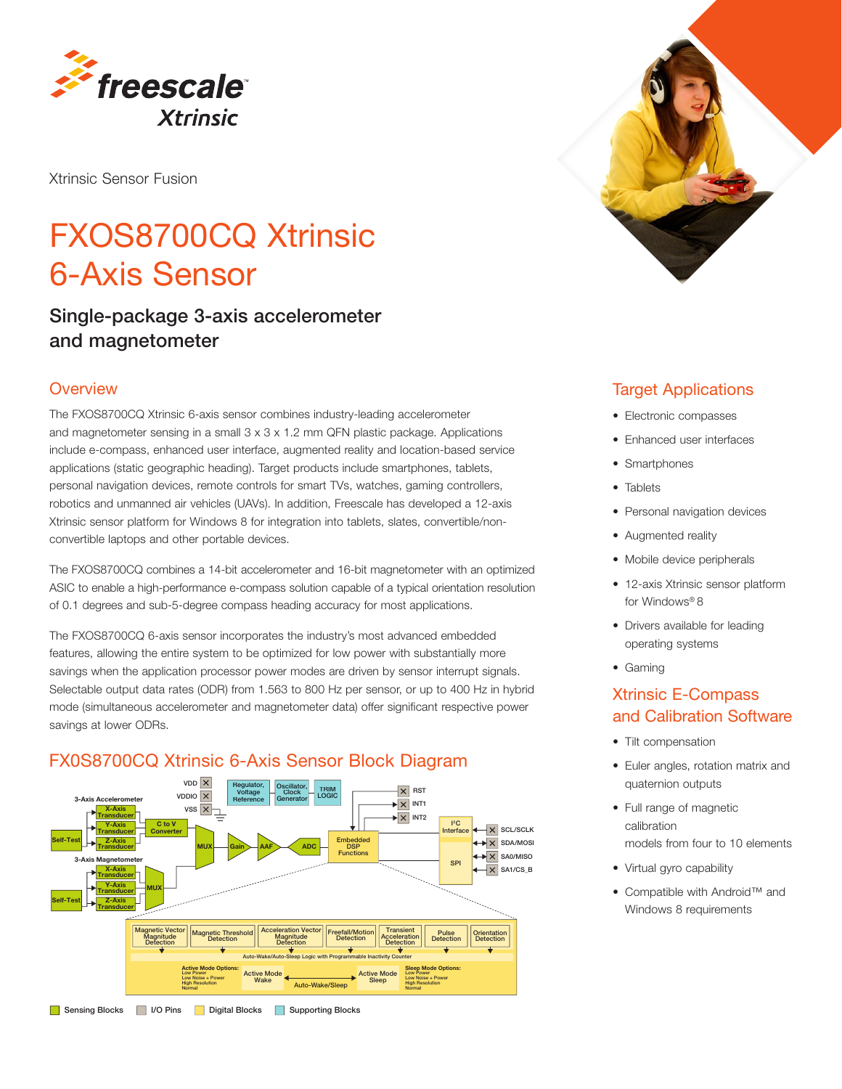

Xtrinsic Sensor Fusion

# FXOS8700CQ Xtrinsic 6-Axis Sensor

## Single-package 3-axis accelerometer and magnetometer

#### **Overview**

The FXOS8700CQ Xtrinsic 6-axis sensor combines industry-leading accelerometer and magnetometer sensing in a small 3 x 3 x 1.2 mm QFN plastic package. Applications include e-compass, enhanced user interface, augmented reality and location-based service applications (static geographic heading). Target products include smartphones, tablets, personal navigation devices, remote controls for smart TVs, watches, gaming controllers, robotics and unmanned air vehicles (UAVs). In addition, Freescale has developed a 12-axis Xtrinsic sensor platform for Windows 8 for integration into tablets, slates, convertible/nonconvertible laptops and other portable devices.

The FXOS8700CQ combines a 14-bit accelerometer and 16-bit magnetometer with an optimized ASIC to enable a high-performance e-compass solution capable of a typical orientation resolution of 0.1 degrees and sub-5-degree compass heading accuracy for most applications.

The FXOS8700CQ 6-axis sensor incorporates the industry's most advanced embedded features, allowing the entire system to be optimized for low power with substantially more savings when the application processor power modes are driven by sensor interrupt signals. Selectable output data rates (ODR) from 1.563 to 800 Hz per sensor, or up to 400 Hz in hybrid mode (simultaneous accelerometer and magnetometer data) offer significant respective power savings at lower ODRs.



## FX0S8700CQ Xtrinsic 6-Axis Sensor Block Diagram



#### Target Applications

- Electronic compasses
- Enhanced user interfaces
- Smartphones
- Tablets
- Personal navigation devices
- Augmented reality
- Mobile device peripherals
- 12-axis Xtrinsic sensor platform for Windows® 8
- Drivers available for leading operating systems
- • Gaming

#### Xtrinsic E-Compass and Calibration Software

- Tilt compensation
- Euler angles, rotation matrix and quaternion outputs
- Full range of magnetic calibration models from four to 10 elements
- • Virtual gyro capability
- • Compatible with Android™ and Windows 8 requirements